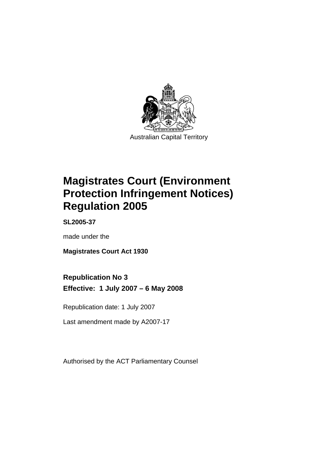

Australian Capital Territory

# **[Magistrates Court \(Environment](#page-4-0)  [Protection Infringement Notices\)](#page-4-0)  [Regulation 2005](#page-4-0)**

**SL2005-37** 

made under the

**[Magistrates Court Act 1930](#page-4-0)** 

# **Republication No 3**

**Effective: 1 July 2007 – 6 May 2008** 

Republication date: 1 July 2007

Last amendment made by A2007-17

Authorised by the ACT Parliamentary Counsel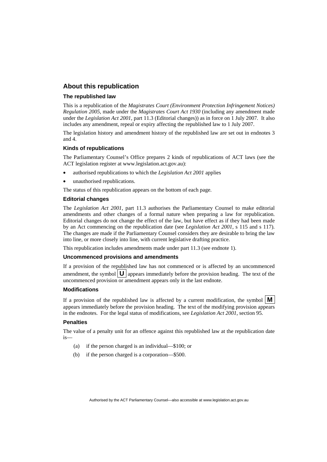### **About this republication**

#### **The republished law**

This is a republication of the *Magistrates Court (Environment Protection Infringement Notices) Regulation 2005*, made under the *[Magistrates Court Act 1930](#page-4-0)* (including any amendment made under the *Legislation Act 2001*, part 11.3 (Editorial changes)) as in force on 1 July 2007*.* It also includes any amendment, repeal or expiry affecting the republished law to 1 July 2007.

The legislation history and amendment history of the republished law are set out in endnotes 3 and 4.

#### **Kinds of republications**

The Parliamentary Counsel's Office prepares 2 kinds of republications of ACT laws (see the ACT legislation register at www.legislation.act.gov.au):

- authorised republications to which the *Legislation Act 2001* applies
- unauthorised republications.

The status of this republication appears on the bottom of each page.

#### **Editorial changes**

The *Legislation Act 2001*, part 11.3 authorises the Parliamentary Counsel to make editorial amendments and other changes of a formal nature when preparing a law for republication. Editorial changes do not change the effect of the law, but have effect as if they had been made by an Act commencing on the republication date (see *Legislation Act 2001*, s 115 and s 117). The changes are made if the Parliamentary Counsel considers they are desirable to bring the law into line, or more closely into line, with current legislative drafting practice.

This republication includes amendments made under part 11.3 (see endnote 1).

#### **Uncommenced provisions and amendments**

If a provision of the republished law has not commenced or is affected by an uncommenced amendment, the symbol  $\mathbf{U}$  appears immediately before the provision heading. The text of the uncommenced provision  $\overline{or}$  amendment appears only in the last endnote.

#### **Modifications**

If a provision of the republished law is affected by a current modification, the symbol  $\mathbf{M}$ appears immediately before the provision heading. The text of the modifying provision appears in the endnotes. For the legal status of modifications, see *Legislation Act 2001*, section 95.

#### **Penalties**

The value of a penalty unit for an offence against this republished law at the republication date is—

- (a) if the person charged is an individual—\$100; or
- (b) if the person charged is a corporation—\$500.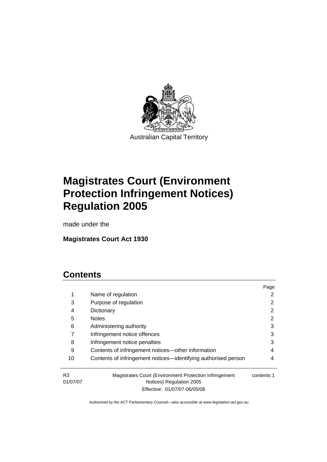

Australian Capital Territory

# **[Magistrates Court \(Environment](#page-4-0)  [Protection Infringement Notices\)](#page-4-0)  [Regulation 2005](#page-4-0)**

made under the

# **[Magistrates Court Act 1930](#page-4-0)**

# **Contents**

|                |                                                                                    | Page       |
|----------------|------------------------------------------------------------------------------------|------------|
| 1              | Name of regulation                                                                 |            |
| 3              | Purpose of regulation                                                              |            |
| 4              | Dictionary                                                                         | 2          |
| 5              | <b>Notes</b>                                                                       | 2          |
| 6              | Administering authority                                                            | 3          |
| 7              | Infringement notice offences                                                       | 3          |
| 8              | Infringement notice penalties                                                      | 3          |
| 9              | Contents of infringement notices-other information                                 | 4          |
| 10             | Contents of infringement notices—identifying authorised person                     | 4          |
| R3<br>01/07/07 | Magistrates Court (Environment Protection Infringement<br>Notices) Regulation 2005 | contents 1 |

Effective: 01/07/07-06/05/08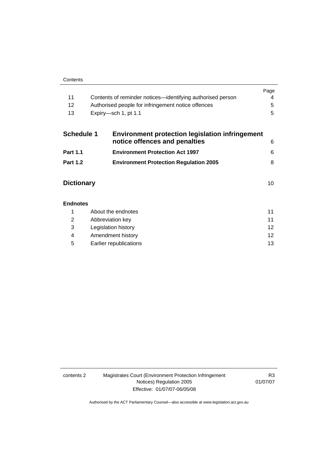| 11         | Contents of reminder notices—identifying authorised person | Page |
|------------|------------------------------------------------------------|------|
| 12         | Authorised people for infringement notice offences         | 5.   |
| 13         | Expiry—sch 1, pt 1.1                                       | 5.   |
| Schedule 1 | Environment protection legislation infringement            |      |

| <b>POLICULE</b> 1 | <u>Eliviloninent protection legislation inimigenient</u><br>notice offences and penalties | 6 |
|-------------------|-------------------------------------------------------------------------------------------|---|
| <b>Part 1.1</b>   | <b>Environment Protection Act 1997</b>                                                    | 6 |
| <b>Part 1.2</b>   | <b>Environment Protection Regulation 2005</b>                                             |   |

| <b>Dictionary</b> |  |
|-------------------|--|
|-------------------|--|

| <b>Endnotes</b> |                        |    |
|-----------------|------------------------|----|
|                 | About the endnotes     | 11 |
| 2               | Abbreviation key       | 11 |
| 3               | Legislation history    | 12 |
| 4               | Amendment history      | 12 |
| 5               | Earlier republications | 13 |

contents 2 Magistrates Court (Environment Protection Infringement Notices) Regulation 2005 Effective: 01/07/07-06/05/08

R3 01/07/07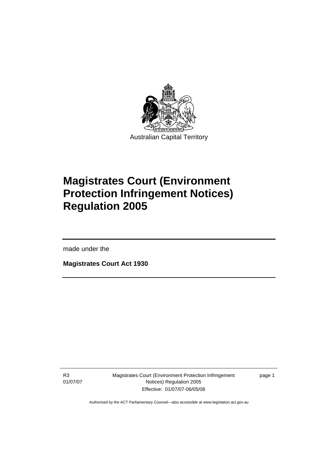<span id="page-4-0"></span>

# **Magistrates Court (Environment Protection Infringement Notices) Regulation 2005**

made under the

l

**Magistrates Court Act 1930** 

R3 01/07/07 Magistrates Court (Environment Protection Infringement Notices) Regulation 2005 Effective: 01/07/07-06/05/08

page 1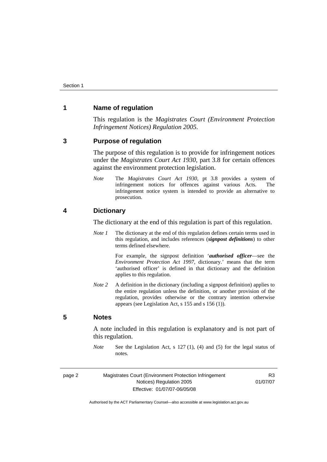### <span id="page-5-0"></span>**1 Name of regulation**

This regulation is the *Magistrates Court (Environment Protection Infringement Notices) Regulation 2005*.

#### **3 Purpose of regulation**

The purpose of this regulation is to provide for infringement notices under the *Magistrates Court Act 1930*, part 3.8 for certain offences against the environment protection legislation.

*Note* The *Magistrates Court Act 1930*, pt 3.8 provides a system of infringement notices for offences against various Acts. The infringement notice system is intended to provide an alternative to prosecution.

#### **4 Dictionary**

The dictionary at the end of this regulation is part of this regulation.

*Note 1* The dictionary at the end of this regulation defines certain terms used in this regulation, and includes references (*signpost definitions*) to other terms defined elsewhere.

> For example, the signpost definition '*authorised officer*—see the *Environment Protection Act 1997*, dictionary.' means that the term 'authorised officer' is defined in that dictionary and the definition applies to this regulation.

*Note 2* A definition in the dictionary (including a signpost definition) applies to the entire regulation unless the definition, or another provision of the regulation, provides otherwise or the contrary intention otherwise appears (see Legislation Act, s 155 and s 156 (1)).

### **5 Notes**

A note included in this regulation is explanatory and is not part of this regulation.

*Note* See the Legislation Act, s 127 (1), (4) and (5) for the legal status of notes

|--|--|

Magistrates Court (Environment Protection Infringement Notices) Regulation 2005 Effective: 01/07/07-06/05/08

R3 01/07/07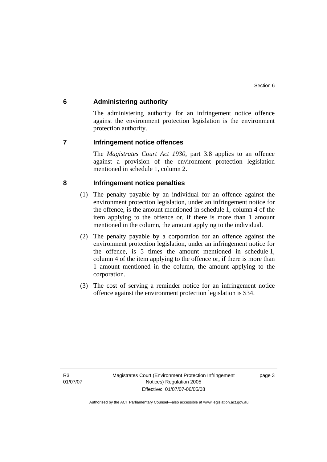## <span id="page-6-0"></span>**6 Administering authority**

The administering authority for an infringement notice offence against the environment protection legislation is the environment protection authority.

#### **7 Infringement notice offences**

The *Magistrates Court Act 1930*, part 3.8 applies to an offence against a provision of the environment protection legislation mentioned in schedule 1, column 2.

# **8 Infringement notice penalties**

- (1) The penalty payable by an individual for an offence against the environment protection legislation, under an infringement notice for the offence, is the amount mentioned in schedule 1, column 4 of the item applying to the offence or, if there is more than 1 amount mentioned in the column, the amount applying to the individual.
- (2) The penalty payable by a corporation for an offence against the environment protection legislation, under an infringement notice for the offence, is 5 times the amount mentioned in schedule 1, column 4 of the item applying to the offence or, if there is more than 1 amount mentioned in the column, the amount applying to the corporation.
- (3) The cost of serving a reminder notice for an infringement notice offence against the environment protection legislation is \$34.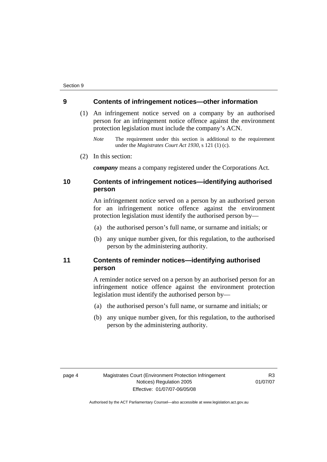#### <span id="page-7-0"></span>**9 Contents of infringement notices—other information**

- (1) An infringement notice served on a company by an authorised person for an infringement notice offence against the environment protection legislation must include the company's ACN.
	- *Note* The requirement under this section is additional to the requirement under the *Magistrates Court Act 1930*, s 121 (1) (c).
- (2) In this section:

*company* means a company registered under the Corporations Act.

## **10 Contents of infringement notices—identifying authorised person**

An infringement notice served on a person by an authorised person for an infringement notice offence against the environment protection legislation must identify the authorised person by—

- (a) the authorised person's full name, or surname and initials; or
- (b) any unique number given, for this regulation, to the authorised person by the administering authority.

## **11 Contents of reminder notices—identifying authorised person**

A reminder notice served on a person by an authorised person for an infringement notice offence against the environment protection legislation must identify the authorised person by—

- (a) the authorised person's full name, or surname and initials; or
- (b) any unique number given, for this regulation, to the authorised person by the administering authority.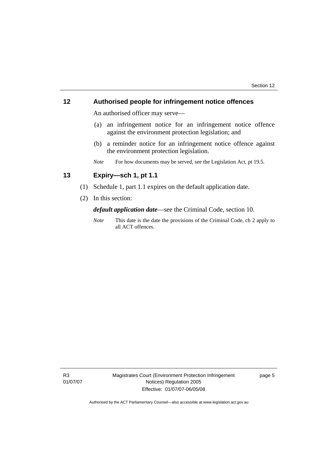### <span id="page-8-0"></span>**12 Authorised people for infringement notice offences**

An authorised officer may serve—

- (a) an infringement notice for an infringement notice offence against the environment protection legislation; and
- (b) a reminder notice for an infringement notice offence against the environment protection legislation.
- *Note* For how documents may be served, see the Legislation Act, pt 19.5.

# **13 Expiry—sch 1, pt 1.1**

- (1) Schedule 1, part 1.1 expires on the default application date.
- (2) In this section:

*default application date*—see the Criminal Code, section 10.

*Note* This date is the date the provisions of the Criminal Code, ch 2 apply to all ACT offences.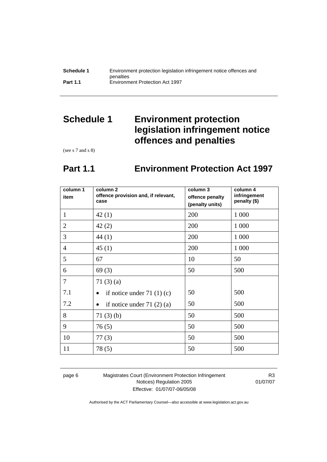<span id="page-9-0"></span>

| Schedule 1      | Environment protection legislation infringement notice offences and |
|-----------------|---------------------------------------------------------------------|
|                 | penalties                                                           |
| <b>Part 1.1</b> | <b>Environment Protection Act 1997</b>                              |

# **Schedule 1 Environment protection legislation infringement notice offences and penalties**

(see s 7 and s 8)

# **Part 1.1 Environment Protection Act 1997**

| column 1<br>item | column <sub>2</sub><br>offence provision and, if relevant,<br>case | column 3<br>offence penalty<br>(penalty units) | column 4<br>infringement<br>penalty (\$) |
|------------------|--------------------------------------------------------------------|------------------------------------------------|------------------------------------------|
| $\mathbf{1}$     | 42(1)                                                              | 200                                            | 1 0 0 0                                  |
| $\overline{2}$   | 42(2)                                                              | 200                                            | 1 0 0 0                                  |
| 3                | 44 (1)                                                             | 200                                            | 1 0 0 0                                  |
| $\overline{4}$   | 45(1)                                                              | 200                                            | 1 0 0 0                                  |
| 5                | 67                                                                 | 10                                             | 50                                       |
| 6                | 69(3)                                                              | 50                                             | 500                                      |
| $\overline{7}$   | 71 $(3)$ $(a)$                                                     |                                                |                                          |
| 7.1              | if notice under 71 $(1)(c)$                                        | 50                                             | 500                                      |
| 7.2              | if notice under $71(2)(a)$                                         | 50                                             | 500                                      |
| 8                | 71(3)(b)                                                           | 50                                             | 500                                      |
| 9                | 76(5)                                                              | 50                                             | 500                                      |
| 10               | 77(3)                                                              | 50                                             | 500                                      |
| 11               | 78(5)                                                              | 50                                             | 500                                      |

page 6 Magistrates Court (Environment Protection Infringement Notices) Regulation 2005 Effective: 01/07/07-06/05/08

R3 01/07/07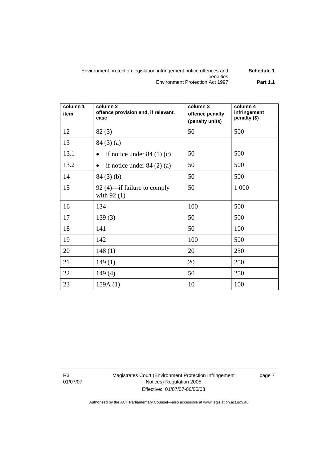#### Environment protection legislation infringement notice offences and penalties **Schedule 1**  Environment Protection Act 1997 **Part 1.1**

| column 1<br>item | column <sub>2</sub><br>offence provision and, if relevant,<br>case | column 3<br>offence penalty<br>(penalty units) | column 4<br>infringement<br>penalty (\$) |
|------------------|--------------------------------------------------------------------|------------------------------------------------|------------------------------------------|
| 12               | 82(3)                                                              | 50                                             | 500                                      |
| 13               | 84(3)(a)                                                           |                                                |                                          |
| 13.1             | if notice under $84(1)(c)$                                         | 50                                             | 500                                      |
| 13.2             | if notice under $84(2)(a)$<br>$\bullet$                            | 50                                             | 500                                      |
| 14               | 84(3)(b)                                                           | 50                                             | 500                                      |
| 15               | 92 (4)—if failure to comply<br>with $92(1)$                        | 50                                             | 1 000                                    |
| 16               | 134                                                                | 100                                            | 500                                      |
| 17               | 139(3)                                                             | 50                                             | 500                                      |
| 18               | 141                                                                | 50                                             | 100                                      |
| 19               | 142                                                                | 100                                            | 500                                      |
| 20               | 148(1)                                                             | 20                                             | 250                                      |
| 21               | 149(1)                                                             | 20                                             | 250                                      |
| 22               | 149(4)                                                             | 50                                             | 250                                      |
| 23               | 159A(1)                                                            | 10                                             | 100                                      |

R3 01/07/07 Magistrates Court (Environment Protection Infringement Notices) Regulation 2005 Effective: 01/07/07-06/05/08

page 7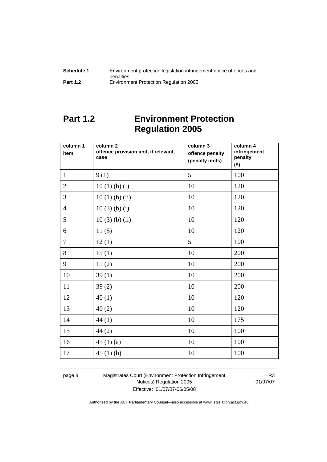<span id="page-11-0"></span>

| Schedule 1      | Environment protection legislation infringement notice offences and |
|-----------------|---------------------------------------------------------------------|
|                 | penalties                                                           |
| <b>Part 1.2</b> | <b>Environment Protection Regulation 2005</b>                       |

# **Part 1.2 Environment Protection Regulation 2005**

| column 1<br>item | column <sub>2</sub><br>offence provision and, if relevant,<br>case | column 3<br>offence penalty<br>(penalty units) | column 4<br>infringement<br>penalty<br>$($ \$) |
|------------------|--------------------------------------------------------------------|------------------------------------------------|------------------------------------------------|
| $\mathbf{1}$     | 9(1)                                                               | 5                                              | 100                                            |
| $\overline{2}$   | 10(1)(b)(i)                                                        | 10                                             | 120                                            |
| $\overline{3}$   | $10(1)$ (b) (ii)                                                   | 10                                             | 120                                            |
| $\overline{4}$   | $10(3)$ (b) (i)                                                    | 10                                             | 120                                            |
| 5                | $10(3)$ (b) (ii)                                                   | 10                                             | 120                                            |
| 6                | 11(5)                                                              | 10                                             | 120                                            |
| $\overline{7}$   | 12(1)                                                              | 5                                              | 100                                            |
| 8                | 15(1)                                                              | 10                                             | 200                                            |
| 9                | 15(2)                                                              | 10                                             | 200                                            |
| 10               | 39(1)                                                              | 10                                             | 200                                            |
| 11               | 39(2)                                                              | 10                                             | 200                                            |
| 12               | 40(1)                                                              | 10                                             | 120                                            |
| 13               | 40(2)                                                              | 10                                             | 120                                            |
| 14               | 44(1)                                                              | 10                                             | 175                                            |
| 15               | 44(2)                                                              | 10                                             | 100                                            |
| 16               | 45 $(1)(a)$                                                        | 10                                             | 100                                            |
| 17               | 45 $(1)$ $(b)$                                                     | 10                                             | 100                                            |

page 8 Magistrates Court (Environment Protection Infringement Notices) Regulation 2005 Effective: 01/07/07-06/05/08

R3 01/07/07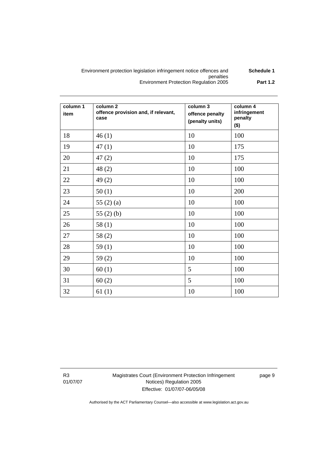#### Environment protection legislation infringement notice offences and penalties **Schedule 1**  Environment Protection Regulation 2005 **Part 1.2**

| column 1<br>item | column <sub>2</sub><br>offence provision and, if relevant,<br>case | column 3<br>offence penalty<br>(penalty units) | column 4<br>infringement<br>penalty<br>$($ \$) |
|------------------|--------------------------------------------------------------------|------------------------------------------------|------------------------------------------------|
| 18               | 46(1)                                                              | 10                                             | 100                                            |
| 19               | 47(1)                                                              | 10                                             | 175                                            |
| 20               | 47(2)                                                              | 10                                             | 175                                            |
| 21               | 48(2)                                                              | 10                                             | 100                                            |
| 22               | 49(2)                                                              | 10                                             | 100                                            |
| 23               | 50(1)                                                              | 10                                             | 200                                            |
| 24               | 55 $(2)$ $(a)$                                                     | 10                                             | 100                                            |
| 25               | 55 $(2)$ $(b)$                                                     | 10                                             | 100                                            |
| 26               | 58(1)                                                              | 10                                             | 100                                            |
| 27               | 58(2)                                                              | 10                                             | 100                                            |
| 28               | 59 $(1)$                                                           | 10                                             | 100                                            |
| 29               | 59 $(2)$                                                           | 10                                             | 100                                            |
| 30               | 60(1)                                                              | 5                                              | 100                                            |
| 31               | 60(2)                                                              | 5                                              | 100                                            |
| 32               | 61(1)                                                              | 10                                             | 100                                            |

R3 01/07/07 Magistrates Court (Environment Protection Infringement Notices) Regulation 2005 Effective: 01/07/07-06/05/08

page 9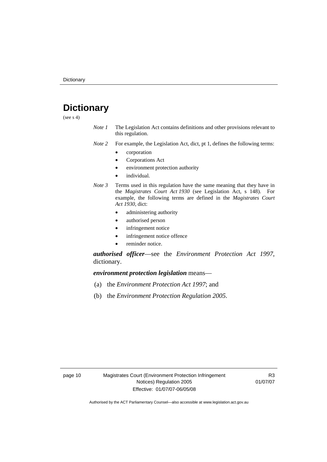# <span id="page-13-0"></span>**Dictionary**

(see  $s$  4)

- *Note 1* The Legislation Act contains definitions and other provisions relevant to this regulation.
- *Note 2* For example, the Legislation Act, dict, pt 1, defines the following terms:
	- corporation
	- Corporations Act
	- environment protection authority
	- individual.
- *Note 3* Terms used in this regulation have the same meaning that they have in the *Magistrates Court Act 1930* (see Legislation Act, s 148). For example, the following terms are defined in the *Magistrates Court Act 1930*, dict:
	- administering authority
	- authorised person
	- infringement notice
	- infringement notice offence
	- reminder notice.

*authorised officer*—see the *Environment Protection Act 1997*, dictionary.

*environment protection legislation* means—

- (a) the *Environment Protection Act 1997*; and
- (b) the *Environment Protection Regulation 2005*.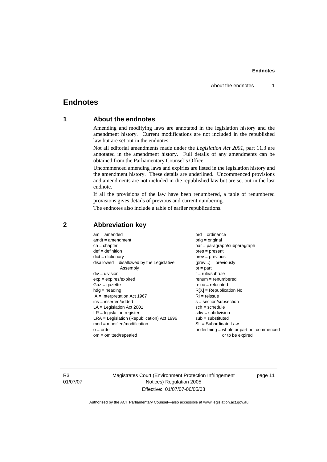#### **Endnotes**

# <span id="page-14-0"></span>**Endnotes**

## **1 About the endnotes**

Amending and modifying laws are annotated in the legislation history and the amendment history. Current modifications are not included in the republished law but are set out in the endnotes.

Not all editorial amendments made under the *Legislation Act 2001*, part 11.3 are annotated in the amendment history. Full details of any amendments can be obtained from the Parliamentary Counsel's Office.

Uncommenced amending laws and expiries are listed in the legislation history and the amendment history. These details are underlined. Uncommenced provisions and amendments are not included in the republished law but are set out in the last endnote.

If all the provisions of the law have been renumbered, a table of renumbered provisions gives details of previous and current numbering.

The endnotes also include a table of earlier republications.

| $am = amended$                               | $ord = ordinance$                         |  |
|----------------------------------------------|-------------------------------------------|--|
| $amdt = amendment$                           | $orig = original$                         |  |
| $ch = chapter$                               | par = paragraph/subparagraph              |  |
| $def = definition$                           | $pres = present$                          |  |
| $dict = dictionary$                          | $prev = previous$                         |  |
| $disallowed = disallowed by the Legislative$ | $(\text{prev}) = \text{previously}$       |  |
| Assembly                                     | $pt = part$                               |  |
| $div = division$                             | $r = rule/subrule$                        |  |
| $exp = expires/expired$                      | $remum = renumbered$                      |  |
| $Gaz = gazette$                              | $reloc = relocated$                       |  |
| $hdg =$ heading                              | $R[X]$ = Republication No                 |  |
| $IA = Interpretation Act 1967$               | $RI = reissue$                            |  |
| $ins = inserted/added$                       | $s = section/subsection$                  |  |
| $LA =$ Legislation Act 2001                  | $sch = schedule$                          |  |
| $LR =$ legislation register                  | $sdiv = subdivision$                      |  |
| $LRA =$ Legislation (Republication) Act 1996 | $sub = substituted$                       |  |
| $mod = modified/modification$                | $SL = Subordinate$ Law                    |  |
| $o = order$                                  | underlining = whole or part not commenced |  |
| $om = omitted/repealed$                      | or to be expired                          |  |
|                                              |                                           |  |

#### **2 Abbreviation key**

R3 01/07/07 Magistrates Court (Environment Protection Infringement Notices) Regulation 2005 Effective: 01/07/07-06/05/08

page 11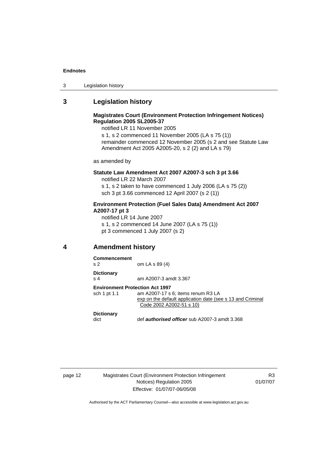#### <span id="page-15-0"></span>**Endnotes**

| Legislation history<br>3 |  |
|--------------------------|--|
|--------------------------|--|

## **3 Legislation history**

#### **Magistrates Court (Environment Protection Infringement Notices) Regulation 2005 SL2005-37**

notified LR 11 November 2005

s 1, s 2 commenced 11 November 2005 (LA s 75 (1)) remainder commenced 12 November 2005 (s 2 and see Statute Law Amendment Act 2005 A2005-20, s 2 (2) and LA s 79)

as amended by

#### **Statute Law Amendment Act 2007 A2007-3 sch 3 pt 3.66**

notified LR 22 March 2007 s 1, s 2 taken to have commenced 1 July 2006 (LA s 75 (2)) sch 3 pt 3.66 commenced 12 April 2007 (s 2 (1))

#### **Environment Protection (Fuel Sales Data) Amendment Act 2007 A2007-17 pt 3**

notified LR 14 June 2007 s 1, s 2 commenced 14 June 2007 (LA s 75 (1)) pt 3 commenced 1 July 2007 (s 2)

**4 Amendment history** 

| <b>Commencement</b><br>s <sub>2</sub>                  | om LA s 89 (4)                                                                                                               |
|--------------------------------------------------------|------------------------------------------------------------------------------------------------------------------------------|
| <b>Dictionary</b><br>s 4                               | am A2007-3 amdt 3.367                                                                                                        |
| <b>Environment Protection Act 1997</b><br>sch 1 pt 1.1 | am A2007-17 s 6; items renum R3 LA<br>exp on the default application date (see s 13 and Criminal<br>Code 2002 A2002-51 s 10) |
| <b>Dictionary</b><br>dict                              | def <i>authorised officer</i> sub A2007-3 amdt 3.368                                                                         |

page 12 Magistrates Court (Environment Protection Infringement Notices) Regulation 2005 Effective: 01/07/07-06/05/08

R3 01/07/07